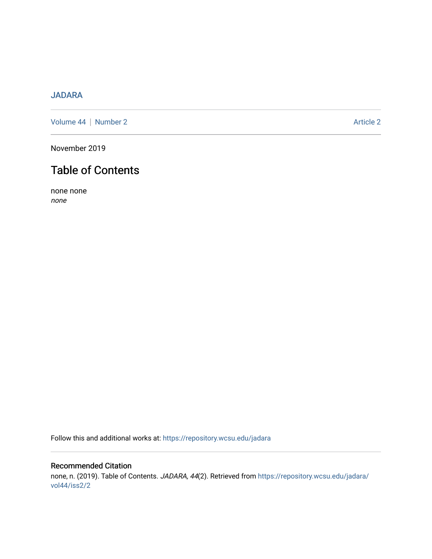# [JADARA](https://repository.wcsu.edu/jadara)

[Volume 44](https://repository.wcsu.edu/jadara/vol44) | [Number 2](https://repository.wcsu.edu/jadara/vol44/iss2) Article 2

November 2019

# Table of Contents

none none none

Follow this and additional works at: [https://repository.wcsu.edu/jadara](https://repository.wcsu.edu/jadara?utm_source=repository.wcsu.edu%2Fjadara%2Fvol44%2Fiss2%2F2&utm_medium=PDF&utm_campaign=PDFCoverPages)

## Recommended Citation none, n. (2019). Table of Contents. JADARA, 44(2). Retrieved from [https://repository.wcsu.edu/jadara/](https://repository.wcsu.edu/jadara/vol44/iss2/2?utm_source=repository.wcsu.edu%2Fjadara%2Fvol44%2Fiss2%2F2&utm_medium=PDF&utm_campaign=PDFCoverPages) [vol44/iss2/2](https://repository.wcsu.edu/jadara/vol44/iss2/2?utm_source=repository.wcsu.edu%2Fjadara%2Fvol44%2Fiss2%2F2&utm_medium=PDF&utm_campaign=PDFCoverPages)